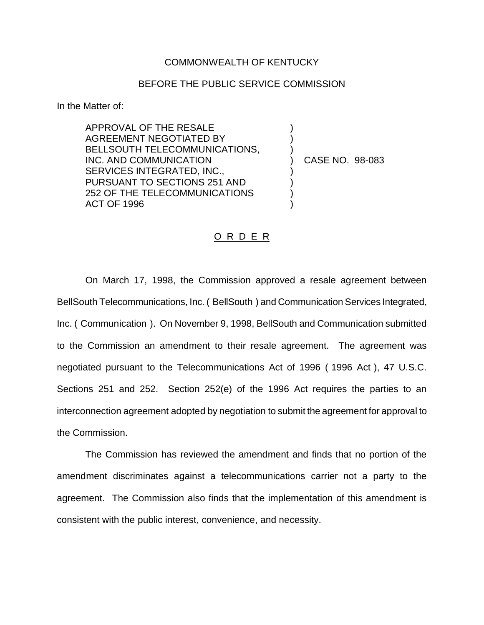## COMMONWEALTH OF KENTUCKY

## BEFORE THE PUBLIC SERVICE COMMISSION

) ) )

) ) ) )

In the Matter of:

APPROVAL OF THE RESALE AGREEMENT NEGOTIATED BY BELLSOUTH TELECOMMUNICATIONS, INC. AND COMMUNICATION SERVICES INTEGRATED, INC., PURSUANT TO SECTIONS 251 AND 252 OF THE TELECOMMUNICATIONS ACT OF 1996

) CASE NO. 98-083

## O R D E R

On March 17, 1998, the Commission approved a resale agreement between BellSouth Telecommunications, Inc. ( BellSouth ) and Communication Services Integrated, Inc. ( Communication ). On November 9, 1998, BellSouth and Communication submitted to the Commission an amendment to their resale agreement. The agreement was negotiated pursuant to the Telecommunications Act of 1996 ( 1996 Act ), 47 U.S.C. Sections 251 and 252. Section 252(e) of the 1996 Act requires the parties to an interconnection agreement adopted by negotiation to submit the agreement for approval to the Commission.

The Commission has reviewed the amendment and finds that no portion of the amendment discriminates against a telecommunications carrier not a party to the agreement. The Commission also finds that the implementation of this amendment is consistent with the public interest, convenience, and necessity.